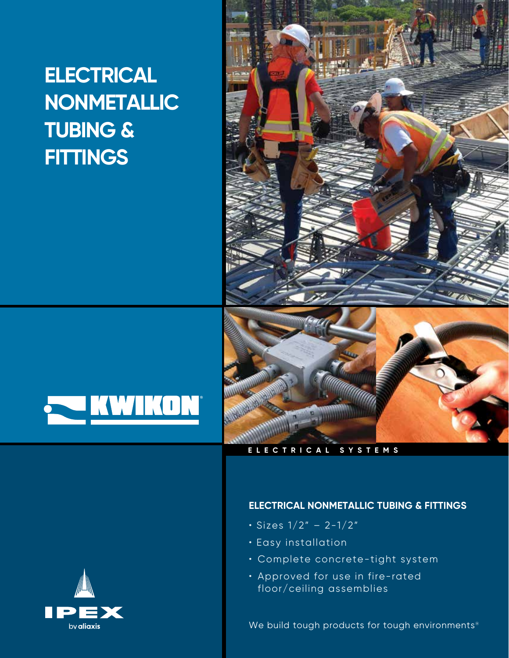# **ELECTRICAL NONMETALLIC TUBING & FITTINGS**





# **ELECTRICAL SYSTEMS**



- Sizes 1/2" 2-1/2"
- Easy installation
- Complete concrete-tight system
- Approved for use in fire-rated floor/ceiling assemblies

We build tough products for tough environments®

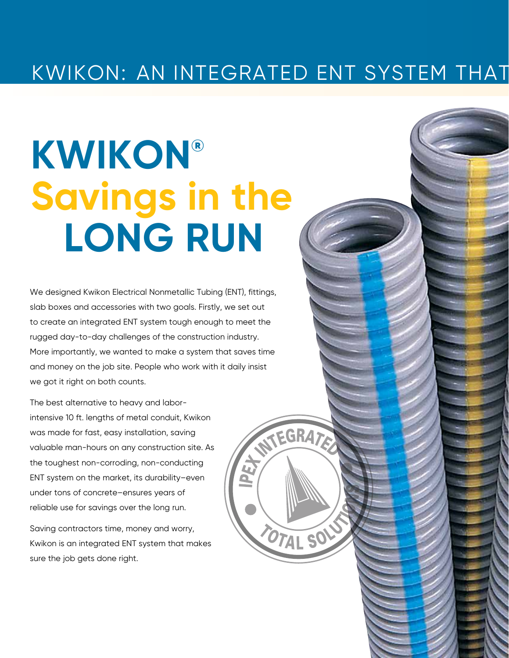# KWIKON: AN INTEGRATED ENT SYSTEM THAT

NTEGRATE

OTAL SO

# **KWIKON® Savings in the LONG RUN**

We designed Kwikon Electrical Nonmetallic Tubing (ENT), fittings, slab boxes and accessories with two goals. Firstly, we set out to create an integrated ENT system tough enough to meet the rugged day-to-day challenges of the construction industry. More importantly, we wanted to make a system that saves time and money on the job site. People who work with it daily insist we got it right on both counts.

The best alternative to heavy and laborintensive 10 ft. lengths of metal conduit, Kwikon was made for fast, easy installation, saving valuable man-hours on any construction site. As the toughest non-corroding, non-conducting ENT system on the market, its durability–even under tons of concrete–ensures years of reliable use for savings over the long run.

Saving contractors time, money and worry, Kwikon is an integrated ENT system that makes sure the job gets done right.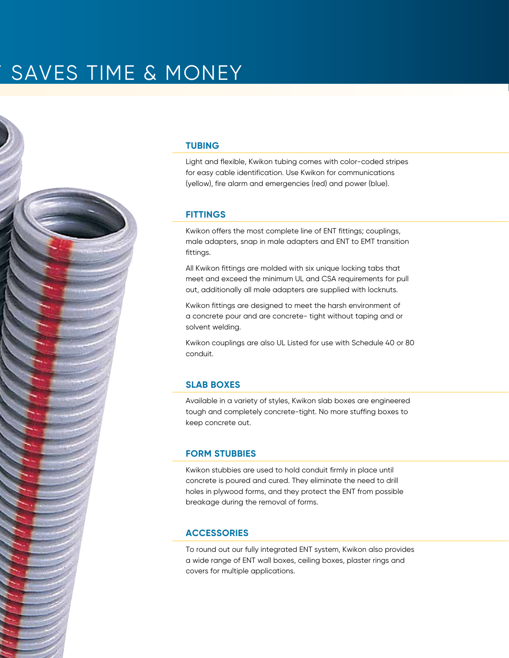# SAVES TIME & MONEY

#### **TUBING**

Light and flexible, Kwikon tubing comes with color-coded stripes for easy cable identification. Use Kwikon for communications (yellow), fire alarm and emergencies (red) and power (blue).

#### **FITTINGS**

Kwikon offers the most complete line of ENT fittings; couplings, male adapters, snap in male adapters and ENT to EMT transition fittings.

All Kwikon fittings are molded with six unique locking tabs that meet and exceed the minimum UL and CSA requirements for pull out, additionally all male adapters are supplied with locknuts.

Kwikon fittings are designed to meet the harsh environment of a concrete pour and are concrete- tight without taping and or solvent welding.

Kwikon couplings are also UL Listed for use with Schedule 40 or 80 conduit.

#### **SLAB BOXES**

Available in a variety of styles, Kwikon slab boxes are engineered tough and completely concrete-tight. No more stuffing boxes to keep concrete out.

# **FORM STUBBIES**

Kwikon stubbies are used to hold conduit firmly in place until concrete is poured and cured. They eliminate the need to drill holes in plywood forms, and they protect the ENT from possible breakage during the removal of forms.

# **ACCESSORIES**

To round out our fully integrated ENT system, Kwikon also provides a wide range of ENT wall boxes, ceiling boxes, plaster rings and covers for multiple applications.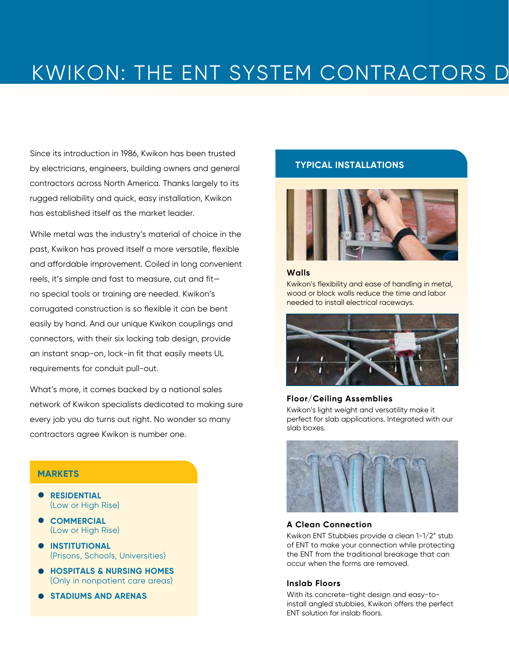# KWIKON: THE ENT SYSTEM CONTRACTORS D

Since its introduction in 1986, Kwikon has been trusted by electricians, engineers, building owners and general contractors across North America. Thanks largely to its rugged reliability and quick, easy installation, Kwikon has established itself as the market leader.

While metal was the industry's material of choice in the past, Kwikon has proved itself a more versatile, flexible and affordable improvement. Coiled in long convenient reels, it's simple and fast to measure, cut and fit no special tools or training are needed. Kwikon's corrugated construction is so flexible it can be bent easily by hand. And our unique Kwikon couplings and connectors, with their six locking tab design, provide an instant snap-on, lock-in fit that easily meets UL requirements for conduit pull-out.

What's more, it comes backed by a national sales network of Kwikon specialists dedicated to making sure every job you do turns out right. No wonder so many contractors agree Kwikon is number one.

#### **MARKETS**

- **•** RESIDENTIAL (Low or High Rise)
- $\bullet$  **COMMERCIAL** (Low or High Rise)
- **INSTITUTIONAL** (Prisons, Schools, Universities)  $\bullet$
- **HOSPITALS & NURSING HOMES**  (Only in nonpatient care areas)  $\bullet$
- **STADIUMS AND ARENAS**  $\bullet$

# **TYPICAL INSTALLATIONS**



#### **Walls**

Kwikon's flexibility and ease of handling in metal, wood or block walls reduce the time and labor needed to install electrical raceways.



# **Floor/Ceiling Assemblies**

Kwikon's light weight and versatility make it perfect for slab applications. Integrated with our slab boxes.



#### **A Clean Connection**

Kwikon ENT Stubbies provide a clean 1-1/2" stub of ENT to make your connection while protecting the ENT from the traditional breakage that can occur when the forms are removed.

#### **Inslab Floors**

With its concrete-tight design and easy-toinstall angled stubbies, Kwikon offers the perfect ENT solution for inslab floors.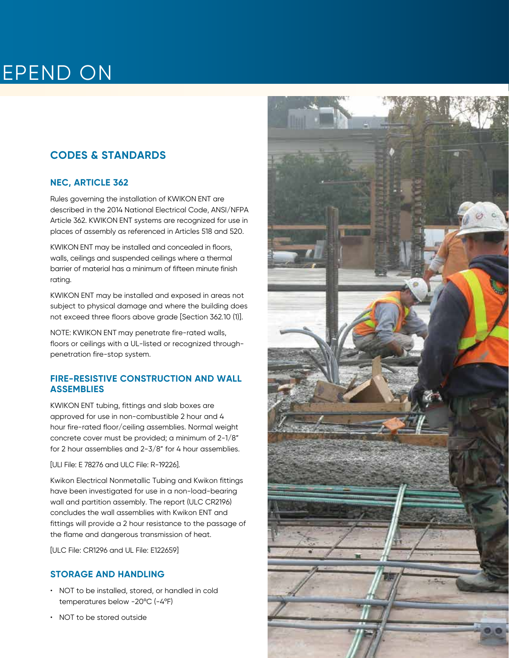# EPEND ON

# **CODES & STANDARDS**

# **NEC, ARTICLE 362**

Rules governing the installation of KWIKON ENT are described in the 2014 National Electrical Code, ANSI/NFPA Article 362. KWIKON ENT systems are recognized for use in places of assembly as referenced in Articles 518 and 520.

KWIKON ENT may be installed and concealed in floors, walls, ceilings and suspended ceilings where a thermal barrier of material has a minimum of fifteen minute finish rating.

KWIKON ENT may be installed and exposed in areas not subject to physical damage and where the building does not exceed three floors above grade [Section 362.10 (1)].

NOTE: KWIKON ENT may penetrate fire-rated walls, floors or ceilings with a UL-listed or recognized throughpenetration fire-stop system.

# **FIRE-RESISTIVE CONSTRUCTION AND WALL ASSEMBLIES**

KWIKON ENT tubing, fittings and slab boxes are approved for use in non-combustible 2 hour and 4 hour fire-rated floor/ceiling assemblies. Normal weight concrete cover must be provided; a minimum of 2-1/8" for 2 hour assemblies and 2-3/8" for 4 hour assemblies.

#### [ULI File: E 78276 and ULC File: R-19226].

Kwikon Electrical Nonmetallic Tubing and Kwikon fittings have been investigated for use in a non-load-bearing wall and partition assembly. The report (ULC CR2196) concludes the wall assemblies with Kwikon ENT and fittings will provide a 2 hour resistance to the passage of the flame and dangerous transmission of heat.

[ULC File: CR1296 and UL File: E122659]

# **STORAGE AND HANDLING**

- NOT to be installed, stored, or handled in cold temperatures below -20ºC (-4ºF)
- NOT to be stored outside

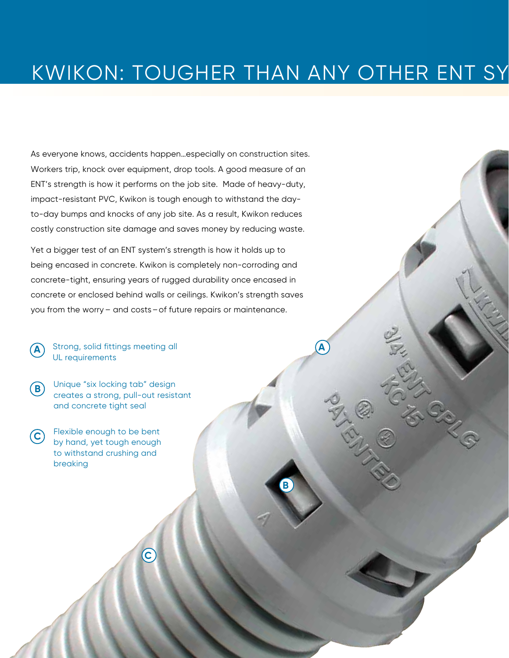# KWIKON: TOUGHER THAN ANY OTHER ENT SY

As everyone knows, accidents happen…especially on construction sites. Workers trip, knock over equipment, drop tools. A good measure of an ENT's strength is how it performs on the job site. Made of heavy-duty, impact-resistant PVC, Kwikon is tough enough to withstand the dayto-day bumps and knocks of any job site. As a result, Kwikon reduces costly construction site damage and saves money by reducing waste.

Yet a bigger test of an ENT system's strength is how it holds up to being encased in concrete. Kwikon is completely non-corroding and concrete-tight, ensuring years of rugged durability once encased in concrete or enclosed behind walls or ceilings. Kwikon's strength saves you from the worry – and costs–of future repairs or maintenance.

**A** Strong, solid fittings meeting all **A** UL requirements

Unique "six locking tab" design creates a strong, pull-out resistant and concrete tight seal **B**

**C**

Flexible enough to be bent by hand, yet tough enough to withstand crushing and breaking **C**

**B**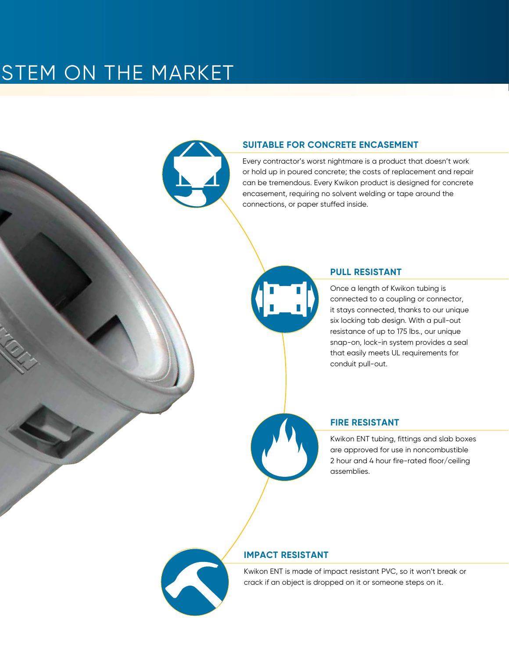# STEM ON THE MARKET



### **SUITABLE FOR CONCRETE ENCASEMENT**

Every contractor's worst nightmare is a product that doesn't work or hold up in poured concrete; the costs of replacement and repair can be tremendous. Every Kwikon product is designed for concrete encasement, requiring no solvent welding or tape around the connections, or paper stuffed inside.



#### **PULL RESISTANT**

Once a length of Kwikon tubing is connected to a coupling or connector, it stays connected, thanks to our unique six locking tab design. With a pull-out resistance of up to 175 lbs., our unique snap-on, lock-in system provides a seal that easily meets UL requirements for conduit pull-out.



Kwikon ENT tubing, fittings and slab boxes are approved for use in noncombustible 2 hour and 4 hour fire-rated floor/ceiling assemblies.

# **IMPACT RESISTANT**

Kwikon ENT is made of impact resistant PVC, so it won't break or crack if an object is dropped on it or someone steps on it.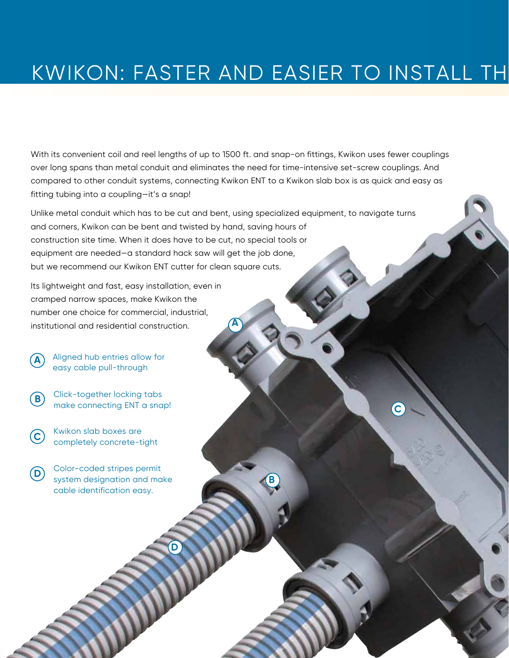# KWIKON: FASTER AND EASIER TO INSTALL TH

**B**

**C**

With its convenient coil and reel lengths of up to 1500 ft. and snap-on fittings, Kwikon uses fewer couplings over long spans than metal conduit and eliminates the need for time-intensive set-screw couplings. And compared to other conduit systems, connecting Kwikon ENT to a Kwikon slab box is as quick and easy as fitting tubing into a coupling—it's a snap!

Unlike metal conduit which has to be cut and bent, using specialized equipment, to navigate turns and corners, Kwikon can be bent and twisted by hand, saving hours of construction site time. When it does have to be cut, no special tools or equipment are needed—a standard hack saw will get the job done, but we recommend our Kwikon ENT cutter for clean square cuts.

**A**

Its lightweight and fast, easy installation, even in cramped narrow spaces, make Kwikon the number one choice for commercial, industrial, institutional and residential construction.

Aligned hub entries allow for easy cable pull-through

**A**

**B** Click-together locking tabs make connecting ENT a snap!

**C** Kwikon slab boxes are completely concrete-tight

Color-coded stripes permit system designation and make cable identification easy. **D**

**D**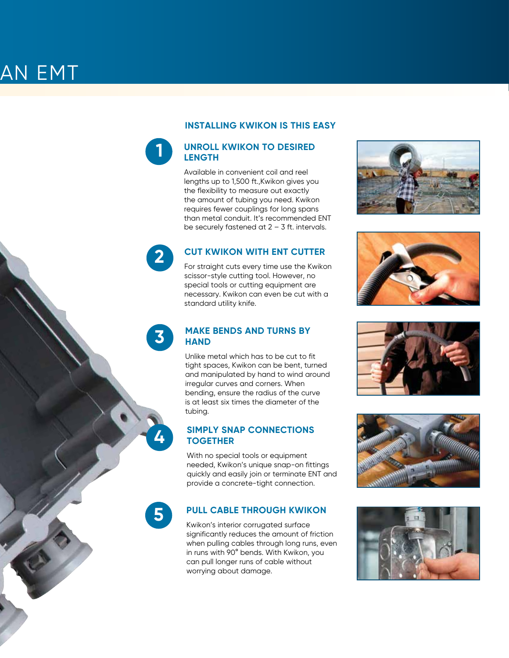#### **INSTALLING KWIKON IS THIS EASY**

### **UNROLL KWIKON TO DESIRED LENGTH**

**1**

**5**

**4**

**3**

**2**

Available in convenient coil and reel lengths up to 1,500 ft.,Kwikon gives you the flexibility to measure out exactly the amount of tubing you need. Kwikon requires fewer couplings for long spans than metal conduit. It's recommended ENT be securely fastened at 2 – 3 ft. intervals.

# **CUT KWIKON WITH ENT CUTTER**

For straight cuts every time use the Kwikon scissor-style cutting tool. However, no special tools or cutting equipment are necessary. Kwikon can even be cut with a standard utility knife.

# **MAKE BENDS AND TURNS BY HAND**

Unlike metal which has to be cut to fit tight spaces, Kwikon can be bent, turned and manipulated by hand to wind around irregular curves and corners. When bending, ensure the radius of the curve is at least six times the diameter of the tubing.

# **SIMPLY SNAP CONNECTIONS TOGETHER**

With no special tools or equipment needed, Kwikon's unique snap-on fittings quickly and easily join or terminate ENT and provide a concrete-tight connection.

# **PULL CABLE THROUGH KWIKON**

Kwikon's interior corrugated surface significantly reduces the amount of friction when pulling cables through long runs, even in runs with 90° bends. With Kwikon, you can pull longer runs of cable without worrying about damage.









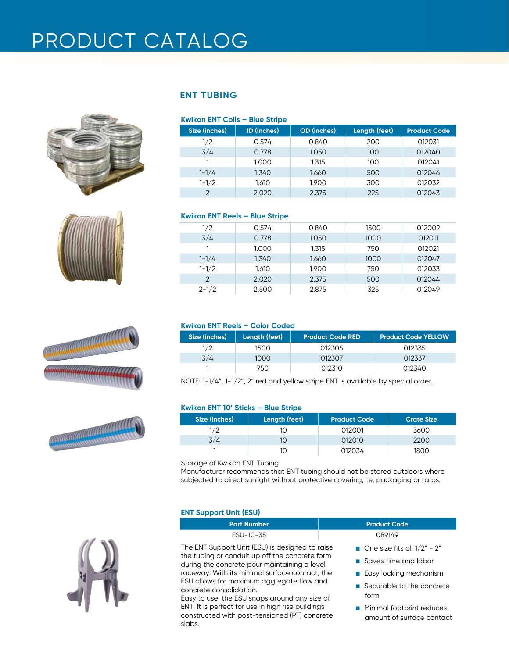# PRODUCT CATALOG









# **ENT TUBING**

| Kwikon ENT Coils - Blue Stripe |                    |                    |               |                     |
|--------------------------------|--------------------|--------------------|---------------|---------------------|
| Size (inches)                  | <b>ID</b> (inches) | <b>OD</b> (inches) | Length (feet) | <b>Product Code</b> |
| 1/2                            | 0.574              | 0.840              | 200           | 012031              |
| 3/4                            | 0.778              | 1.050              | 100           | 012040              |
|                                | 1.000              | 1.315              | 100           | 012041              |
| $1 - 1/4$                      | 1.340              | 1.660              | 500           | 012046              |
| $1 - 1/2$                      | 1.610              | 1.900              | 300           | 012032              |
| $\mathcal{D}$                  | 2.020              | 2.375              | 225           | 012043              |

### **Kwikon ENT Reels – Blue Stripe**

| 1/2           | 0.574 | 0.840 | 1500 | 012002 |
|---------------|-------|-------|------|--------|
| 3/4           | 0.778 | 1.050 | 1000 | 012011 |
|               | 1.000 | 1.315 | 750  | 012021 |
| $1 - 1/4$     | 1.340 | 1.660 | 1000 | 012047 |
| $1 - 1/2$     | 1.610 | 1.900 | 750  | 012033 |
| $\mathcal{P}$ | 2.020 | 2.375 | 500  | 012044 |
| $2 - 1/2$     | 2.500 | 2.875 | 325  | 012049 |

## **Kwikon ENT Reels – Color Coded**

| Size (inches) | Length (feet) | <b>Product Code RED</b> | <b>Product Code YELLOW</b> |
|---------------|---------------|-------------------------|----------------------------|
| 1/2           | 1500          | 012305                  | 012335                     |
| 3/4           | 1000          | 012307                  | 012337                     |
|               | 750           | 012.310                 | 012340                     |

NOTE: 1-1/4", 1-1/2", 2" red and yellow stripe ENT is available by special order.

#### **Kwikon ENT 10' Sticks – Blue Stripe**

| Size (inches) | Length (feet) | <b>Product Code</b> | <b>Crate Size</b> |
|---------------|---------------|---------------------|-------------------|
|               |               | 012001              | 3600              |
| 3/4           |               | 012010              | 2200              |
|               |               | 012034              | 1800              |

Storage of Kwikon ENT Tubing

Manufacturer recommends that ENT tubing should not be stored outdoors where subjected to direct sunlight without protective covering, i.e. packaging or tarps.

#### **ENT Support Unit (ESU)**

slabs.

| <b>Part Number</b>                                                                                                    | <b>Product Code</b>                     |
|-----------------------------------------------------------------------------------------------------------------------|-----------------------------------------|
| ESU-10-35                                                                                                             | 089149                                  |
| The ENT Support Unit (ESU) is designed to raise                                                                       | One size fits all $1/2$ " - 2"          |
| the tubing or conduit up off the concrete form<br>during the concrete pour maintaining a level                        | Saves time and labor                    |
| raceway. With its minimal surface contact, the                                                                        | <b>Example 2</b> Easy locking mechanism |
| ESU allows for maximum aggregate flow and<br>concrete consolidation.<br>Easy to use, the ESU snaps around any size of | Securable to the concrete<br>form       |
| ENT. It is perfect for use in high rise buildings                                                                     | • Minimal footprint reduces             |

constructed with post-tensioned (PT) concrete ■ Minimal footprint reduces amount of surface contact

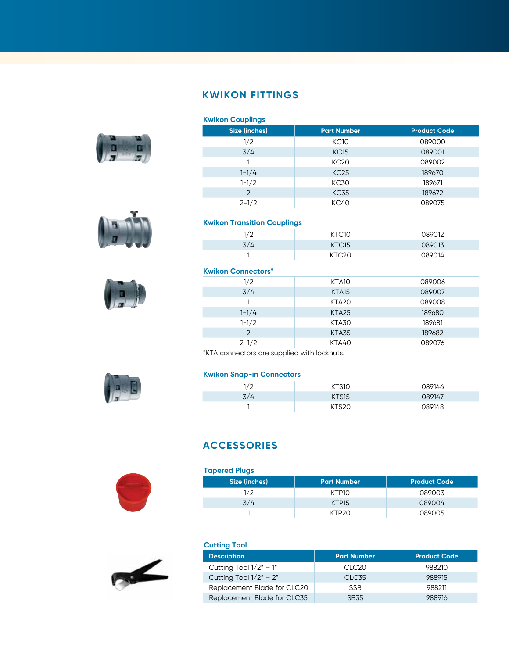# **KWIKON FITTINGS**







| <b>Kwikon Couplings</b> |                    |                     |  |
|-------------------------|--------------------|---------------------|--|
| Size (inches)           | <b>Part Number</b> | <b>Product Code</b> |  |
| 1/2                     | KC10               | 089000              |  |
| 3/4                     | KC15               | 089001              |  |
|                         | <b>KC20</b>        | 089002              |  |
| $1 - 1/4$               | KC <sub>25</sub>   | 189670              |  |
| $1 - 1/2$               | <b>KC30</b>        | 189671              |  |
| $\overline{2}$          | <b>KC35</b>        | 189672              |  |
| $2 - 1/2$               | KC40               | 089075              |  |

# **Kwikon Transition Couplings**

| 170<br>∸ | KTC10             | 089012 |
|----------|-------------------|--------|
| 3/4      | KTC <sub>15</sub> | 089013 |
|          |                   | 089014 |

# **Kwikon Connectors\***

| 1/2           | KTA10             | 089006 |
|---------------|-------------------|--------|
| 3/4           | KTA <sub>15</sub> | 089007 |
|               | KTA <sub>20</sub> | 089008 |
| $1 - 1/4$     | KTA <sub>25</sub> | 189680 |
| $1 - 1/2$     | KTA30             | 189681 |
| $\mathcal{P}$ | KTA35             | 189682 |
| $2 - 1/2$     | KTA40             | 089076 |

\*KTA connectors are supplied with locknuts.

#### **Kwikon Snap-in Connectors**

| າ /າ<br>∸ | ~S10         | 089146 |
|-----------|--------------|--------|
| 3/4       | <b>KTS15</b> | 089147 |
|           |              | 089148 |

# **ACCESSORIES**



| <b>Tapered Plugs</b> |                    |                     |  |
|----------------------|--------------------|---------------------|--|
| Size (inches)        | <b>Part Number</b> | <b>Product Code</b> |  |
| 1/2                  | KTP10              | 089003              |  |
| 3/4                  | KTP <sub>15</sub>  | 089004              |  |
|                      | KTP20              | 089005              |  |



| <b>Cutting Tool</b>         |                    |                     |  |  |
|-----------------------------|--------------------|---------------------|--|--|
| <b>Description</b>          | <b>Part Number</b> | <b>Product Code</b> |  |  |
| Cutting Tool $1/2" - 1"$    | CLC <sub>20</sub>  | 988210              |  |  |
| Cutting Tool $1/2" - 2"$    | CLC <sub>35</sub>  | 988915              |  |  |
| Replacement Blade for CLC20 | <b>SSB</b>         | 988211              |  |  |
| Replacement Blade for CLC35 | SB <sub>35</sub>   | 988916              |  |  |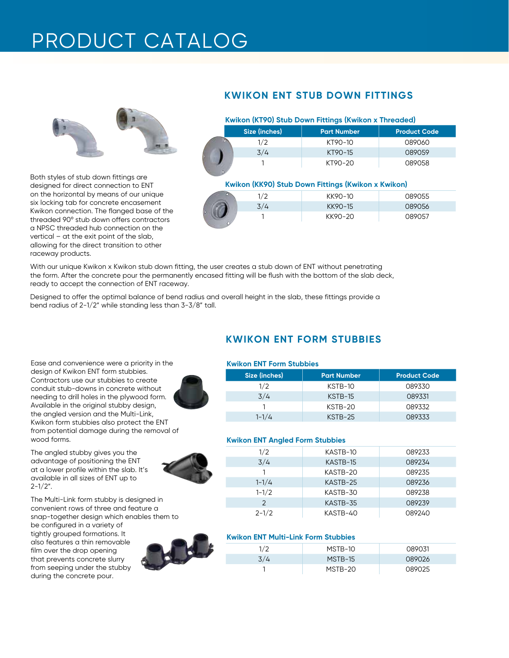# PRODUCT CATALOG



Both styles of stub down fittings are designed for direct connection to ENT on the horizontal by means of our unique six locking tab for concrete encasement Kwikon connection. The flanged base of the threaded 90º stub down offers contractors a NPSC threaded hub connection on the vertical – at the exit point of the slab, allowing for the direct transition to other raceway products.

# **KWIKON ENT STUB DOWN FITTINGS**

| Kwikon (KT90) Stub Down Fittings (Kwikon x Threaded) |               |                    |                     |  |
|------------------------------------------------------|---------------|--------------------|---------------------|--|
|                                                      | Size (inches) | <b>Part Number</b> | <b>Product Code</b> |  |
|                                                      | 1/2           | KT90-10            | 089060              |  |
|                                                      | 3/4           | KT90-15            | 089059              |  |
|                                                      |               | KT90-20            | 089058              |  |

#### **Kwikon (KK90) Stub Down Fittings (Kwikon x Kwikon)**

|         |     | ____    |        |
|---------|-----|---------|--------|
|         | 1/2 | KK90-10 | 089055 |
|         | 3/4 | KK90-15 | 089056 |
| $\circ$ |     | KK90-20 | 089057 |
|         |     |         |        |

With our unique Kwikon x Kwikon stub down fitting, the user creates a stub down of ENT without penetrating the form. After the concrete pour the permanently encased fitting will be flush with the bottom of the slab deck, ready to accept the connection of ENT raceway.

Designed to offer the optimal balance of bend radius and overall height in the slab, these fittings provide a bend radius of 2-1/2" while standing less than 3-3/8" tall.

Ease and convenience were a priority in the design of Kwikon ENT form stubbies. Contractors use our stubbies to create conduit stub-downs in concrete without needing to drill holes in the plywood form. Available in the original stubby design, the angled version and the Multi-Link, Kwikon form stubbies also protect the ENT from potential damage during the removal of wood forms.

The angled stubby gives you the advantage of positioning the ENT at a lower profile within the slab. It's available in all sizes of ENT up to  $2 - 1/2$ ".



The Multi-Link form stubby is designed in convenient rows of three and feature a snap-together design which enables them to

be configured in a variety of tightly grouped formations. It also features a thin removable film over the drop opening that prevents concrete slurry from seeping under the stubby during the concrete pour.



# **KWIKON ENT FORM STUBBIES**

#### **Kwikon ENT Form Stubbies**

| Size (inches) | <b>Part Number</b> | <b>Product Code</b> |
|---------------|--------------------|---------------------|
| 1/2           | KSTB-10            | 089330              |
| 3/4           | KSTB-15            | 089331              |
|               | KSTB-20            | 089332              |
| $1 - 1/4$     | $KSTB-25$          | 089333              |

#### **Kwikon ENT Angled Form Stubbies**

| 1/2<br>089233<br>KASTB-10<br>3/4<br>KASTB-15<br>089234 |
|--------------------------------------------------------|
|                                                        |
|                                                        |
| 089235<br>KASTB-20                                     |
| $1 - 1/4$<br>KASTB-25<br>089236                        |
| $1 - 1/2$<br>KASTB-30<br>089238                        |
| $\mathcal{P}$<br>089239<br>KASTB-35                    |
| $2 - 1/2$<br>KASTB-40<br>089240                        |

#### **Kwikon ENT Multi-Link Form Stubbies**

| 1/2 | MSTB-10 | 089031 |
|-----|---------|--------|
| 3/4 | MSTB-15 | 089026 |
|     | MSTB-20 | 089025 |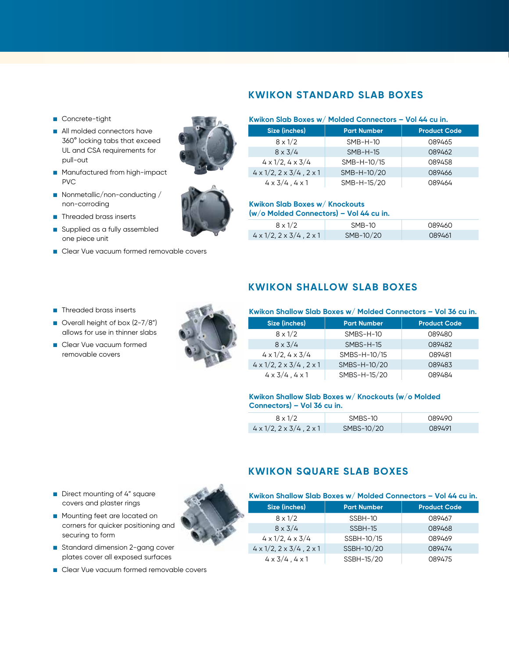# **KWIKON STANDARD SLAB BOXES**

- Concrete-tight
- All molded connectors have 360° locking tabs that exceed UL and CSA requirements for pull-out
- **n** Manufactured from high-impact PVC
- Nonmetallic/non-conducting / non-corroding
- **n** Threaded brass inserts
- supplied as a fully assembled one piece unit
- Clear Vue vacuum formed removable covers





# **Kwikon Slab Boxes w/ Molded Connectors – Vol 44 cu in.**

| Size (inches)                                  | <b>Part Number</b> | <b>Product Code</b> |
|------------------------------------------------|--------------------|---------------------|
| $8 \times 1/2$                                 | $SMB-H-10$         | 089465              |
| $8 \times 3/4$                                 | $SMB-H-15$         | 089462              |
| $4 \times 1/2$ , $4 \times 3/4$                | SMB-H-10/15        | 089458              |
| $4 \times 1/2$ , $2 \times 3/4$ , $2 \times 1$ | SMB-H-10/20        | 089466              |
| $4 \times 3/4$ , $4 \times 1$                  | SMB-H-15/20        | 089464              |

### **Kwikon Slab Boxes w/ Knockouts**

**(w/o Molded Connectors) – Vol 44 cu in.**

| $8 \times 1/2$                                 | $SMB-10$  | 089460 |
|------------------------------------------------|-----------|--------|
| $4 \times 1/2$ , $2 \times 3/4$ , $2 \times 1$ | SMB-10/20 | 089461 |

- n Threaded brass inserts
- $\Box$  Overall height of box (2-7/8") allows for use in thinner slabs
- **n** Clear Vue vacuum formed removable covers



# **KWIKON SHALLOW SLAB BOXES**

### **Size (inches) Part Number Product Code** 8 x 1/2 SMBS-H-10 089480 8 x 3/4 SMBS-H-15 089482 4 x 1/2, 4 x 3/4 SMBS-H-10/15 089481  $4 \times 1/2$ ,  $2 \times 3/4$ ,  $2 \times 1$  SMBS-H-10/20 089483 4 x 3/4 , 4 x 1 SMBS-H-15/20 089484 **Kwikon Shallow Slab Boxes w/ Molded Connectors – Vol 36 cu in.**

#### **Kwikon Shallow Slab Boxes w/ Knockouts (w/o Molded Connectors) – Vol 36 cu in.**

| $8 \times 1/2$                                 | SMBS-10    | 089490 |
|------------------------------------------------|------------|--------|
| $4 \times 1/2$ , $2 \times 3/4$ , $2 \times 1$ | SMBS-10/20 | 089491 |

- Direct mounting of 4" square covers and plaster rings
- **n** Mounting feet are located on corners for quicker positioning and securing to form
- **n** Standard dimension 2-gang cover plates cover all exposed surfaces
- Clear Vue vacuum formed removable covers



# **KWIKON SQUARE SLAB BOXES**

| Kwikon Shallow Slab Boxes w/ Molded Connectors - Vol 44 cu in. |                    |                     |  |
|----------------------------------------------------------------|--------------------|---------------------|--|
| Size (inches)                                                  | <b>Part Number</b> | <b>Product Code</b> |  |
| $8 \times 1/2$                                                 | SSBH-10            | 089467              |  |
| $8 \times 3/4$                                                 | SSBH-15            | 089468              |  |
| $4 \times 1/2$ , $4 \times 3/4$                                | SSBH-10/15         | 089469              |  |
| $4 \times 1/2$ , $2 \times 3/4$ , $2 \times 1$                 | SSBH-10/20         | 089474              |  |
| $4 \times 3/4$ , $4 \times 1$                                  | SSBH-15/20         | 089475              |  |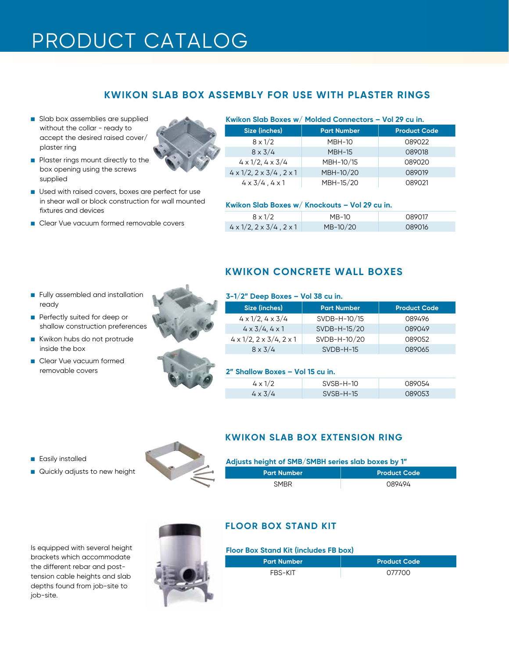# PRODUCT CATALOG

# **KWIKON SLAB BOX ASSEMBLY FOR USE WITH PLASTER RINGS**

slab box assemblies are supplied without the collar - ready to accept the desired raised cover/ plaster ring



- **n** Plaster rings mount directly to the box opening using the screws supplied
- Used with raised covers, boxes are perfect for use in shear wall or block construction for wall mounted fixtures and devices
- Clear Vue vacuum formed removable covers

#### **Kwikon Slab Boxes w/ Molded Connectors – Vol 29 cu in.**

| Size (inches)                                  | <b>Part Number</b> | <b>Product Code</b> |
|------------------------------------------------|--------------------|---------------------|
| $8 \times 1/2$                                 | <b>MBH-10</b>      | 089022              |
| $8 \times 3/4$                                 | <b>MBH-15</b>      | 089018              |
| $4 \times 1/2$ , $4 \times 3/4$                | MBH-10/15          | 089020              |
| $4 \times 1/2$ , $2 \times 3/4$ , $2 \times 1$ | MBH-10/20          | 089019              |
| $4 \times 3/4$ , $4 \times 1$                  | MBH-15/20          | 089021              |

#### **Kwikon Slab Boxes w/ Knockouts – Vol 29 cu in.**

| $8 \times 1/2$                                 | $MB-10$  | 089017 |
|------------------------------------------------|----------|--------|
| $4 \times 1/2$ , $2 \times 3/4$ , $2 \times 1$ | MB-10/20 | 089016 |

- **n** Fully assembled and installation ready
- **n** Perfectly suited for deep or shallow construction preferences
- Kwikon hubs do not protrude inside the box
- **n** Clear Vue vacuum formed removable covers



# **KWIKON CONCRETE WALL BOXES**

#### **3-1/2" Deep Boxes – Vol 38 cu in.**

| Size (inches)                                  | <b>Part Number</b> | <b>Product Code</b> |
|------------------------------------------------|--------------------|---------------------|
| $4 \times 1/2$ , $4 \times 3/4$                | SVDB-H-10/15       | 089496              |
| $4 \times 3/4, 4 \times 1$                     | SVDB-H-15/20       | 089049              |
| $4 \times 1/2$ , $2 \times 3/4$ , $2 \times 1$ | SVDB-H-10/20       | 089052              |
| $8 \times 3/4$                                 | $SVDB-H-15$        | 089065              |

#### **2" Shallow Boxes – Vol 15 cu in.**

| $4 \times 1/2$ | SVSB-H-10   | 089054 |
|----------------|-------------|--------|
| $4 \times 3/4$ | $SVSB-H-15$ | 089053 |

- **n** Easily installed
- **n** Quickly adjusts to new height



# **KWIKON SLAB BOX EXTENSION RING**

| Adjusts height of SMB/SMBH series slab boxes by 1" |                     |
|----------------------------------------------------|---------------------|
| Part Number '                                      | <b>Product Code</b> |
| <b>SMBR</b>                                        | 089494              |

**Floor Box Stand Kit (includes FB box) Floor Box Stand Kit (includes FB box)** brackets which accommodate the different rebar and posttension cable heights and slab depths found from job-site to job-site.



# **FLOOR BOX STAND KIT**

| <b>Part Number</b> | <b>Product Code</b> |
|--------------------|---------------------|
| FBS-KIT            | 077700              |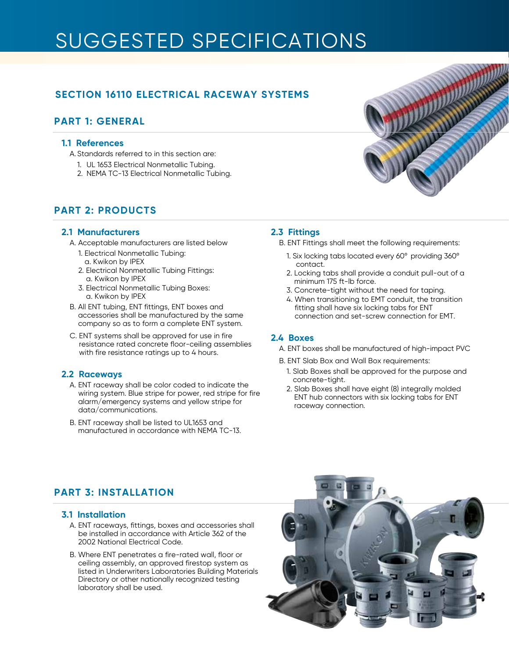# SUGGESTED SPECIFICATIONS

# **SECTION 16110 ELECTRICAL RACEWAY SYSTEMS**

# **PART 1: GENERAL**

### **1.1 References**

- A.Standards referred to in this section are:
	- 1. UL 1653 Electrical Nonmetallic Tubing.
	- 2. NEMA TC-13 Electrical Nonmetallic Tubing.

# **PART 2: PRODUCTS**

### **2.1 Manufacturers**

- A. Acceptable manufacturers are listed below
	- 1. Electrical Nonmetallic Tubing: a. Kwikon by IPEX
	- 2. Electrical Nonmetallic Tubing Fittings: a. Kwikon by IPEX
	- 3. Electrical Nonmetallic Tubing Boxes: a. Kwikon by IPEX
- B. All ENT tubing, ENT fittings, ENT boxes and accessories shall be manufactured by the same company so as to form a complete ENT system.
- C. ENT systems shall be approved for use in fire resistance rated concrete floor-ceiling assemblies with fire resistance ratings up to 4 hours.

### **2.2 Raceways**

- A. ENT raceway shall be color coded to indicate the wiring system. Blue stripe for power, red stripe for fire alarm/emergency systems and yellow stripe for data/communications.
- B. ENT raceway shall be listed to UL1653 and manufactured in accordance with NEMA TC-13.

# **2.3 Fittings**

- B. ENT Fittings shall meet the following requirements:
	- 1. Six locking tabs located every 60º providing 360º contact.
	- 2. Locking tabs shall provide a conduit pull-out of a minimum 175 ft-lb force.
	- 3. Concrete-tight without the need for taping.
	- 4. When transitioning to EMT conduit, the transition fitting shall have six locking tabs for ENT connection and set-screw connection for EMT.

# **2.4 Boxes**

- A. ENT boxes shall be manufactured of high-impact PVC
- B. ENT Slab Box and Wall Box requirements:
	- 1. Slab Boxes shall be approved for the purpose and concrete-tight.
	- 2. Slab Boxes shall have eight (8) integrally molded ENT hub connectors with six locking tabs for ENT raceway connection.

# **PART 3: INSTALLATION**

### **3.1 Installation**

- A. ENT raceways, fittings, boxes and accessories shall be installed in accordance with Article 362 of the 2002 National Electrical Code.
- B. Where ENT penetrates a fire-rated wall, floor or ceiling assembly, an approved firestop system as listed in Underwriters Laboratories Building Materials Directory or other nationally recognized testing laboratory shall be used.